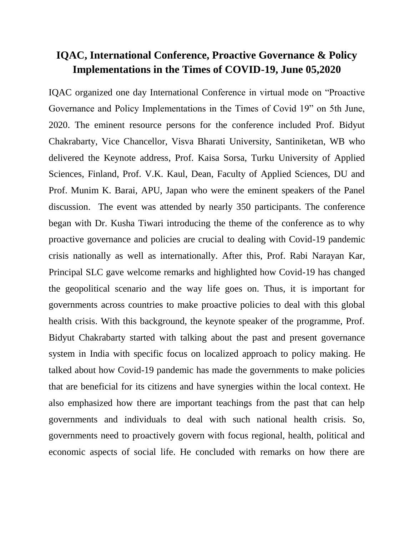## **[IQAC, International Conference, Proactive Governance & Policy](https://drive.google.com/file/d/1IkwBmU0RRQBR2euRAP4yCjhNHpiKVYKI/view)  [Implementations in the Times of COVID-19, June 05,2020](https://drive.google.com/file/d/1IkwBmU0RRQBR2euRAP4yCjhNHpiKVYKI/view)**

IQAC organized one day International Conference in virtual mode on "Proactive Governance and Policy Implementations in the Times of Covid 19" on 5th June, 2020. The eminent resource persons for the conference included Prof. Bidyut Chakrabarty, Vice Chancellor, Visva Bharati University, Santiniketan, WB who delivered the Keynote address, Prof. Kaisa Sorsa, Turku University of Applied Sciences, Finland, Prof. V.K. Kaul, Dean, Faculty of Applied Sciences, DU and Prof. Munim K. Barai, APU, Japan who were the eminent speakers of the Panel discussion. The event was attended by nearly 350 participants. The conference began with Dr. Kusha Tiwari introducing the theme of the conference as to why proactive governance and policies are crucial to dealing with Covid-19 pandemic crisis nationally as well as internationally. After this, Prof. Rabi Narayan Kar, Principal SLC gave welcome remarks and highlighted how Covid-19 has changed the geopolitical scenario and the way life goes on. Thus, it is important for governments across countries to make proactive policies to deal with this global health crisis. With this background, the keynote speaker of the programme, Prof. Bidyut Chakrabarty started with talking about the past and present governance system in India with specific focus on localized approach to policy making. He talked about how Covid-19 pandemic has made the governments to make policies that are beneficial for its citizens and have synergies within the local context. He also emphasized how there are important teachings from the past that can help governments and individuals to deal with such national health crisis. So, governments need to proactively govern with focus regional, health, political and economic aspects of social life. He concluded with remarks on how there are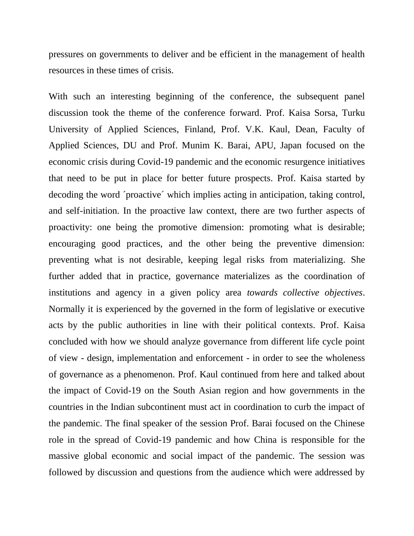pressures on governments to deliver and be efficient in the management of health resources in these times of crisis.

With such an interesting beginning of the conference, the subsequent panel discussion took the theme of the conference forward. Prof. Kaisa Sorsa, Turku University of Applied Sciences, Finland, Prof. V.K. Kaul, Dean, Faculty of Applied Sciences, DU and Prof. Munim K. Barai, APU, Japan focused on the economic crisis during Covid-19 pandemic and the economic resurgence initiatives that need to be put in place for better future prospects. Prof. Kaisa started by decoding the word 'proactive' which implies acting in anticipation, taking control, and self-initiation. In the proactive law context, there are two further aspects of proactivity: one being the promotive dimension: promoting what is desirable; encouraging good practices, and the other being the preventive dimension: preventing what is not desirable, keeping legal risks from materializing. She further added that in practice, governance materializes as the coordination of institutions and agency in a given policy area *towards collective objectives*. Normally it is experienced by the governed in the form of legislative or executive acts by the public authorities in line with their political contexts. Prof. Kaisa concluded with how we should analyze governance from different life cycle point of view - design, implementation and enforcement - in order to see the wholeness of governance as a phenomenon. Prof. Kaul continued from here and talked about the impact of Covid-19 on the South Asian region and how governments in the countries in the Indian subcontinent must act in coordination to curb the impact of the pandemic. The final speaker of the session Prof. Barai focused on the Chinese role in the spread of Covid-19 pandemic and how China is responsible for the massive global economic and social impact of the pandemic. The session was followed by discussion and questions from the audience which were addressed by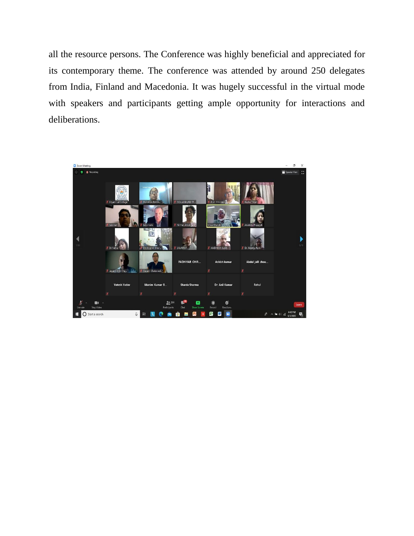all the resource persons. The Conference was highly beneficial and appreciated for its contemporary theme. The conference was attended by around 250 delegates from India, Finland and Macedonia. It was hugely successful in the virtual mode with speakers and participants getting ample opportunity for interactions and deliberations.

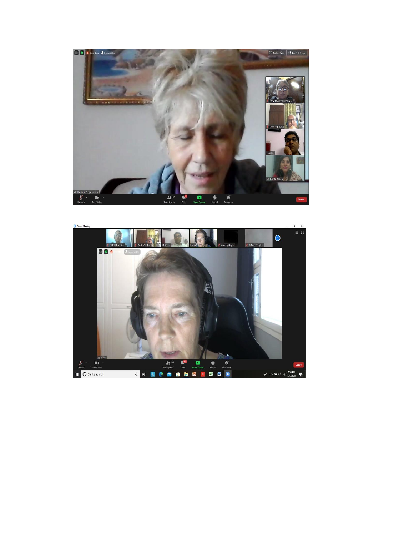

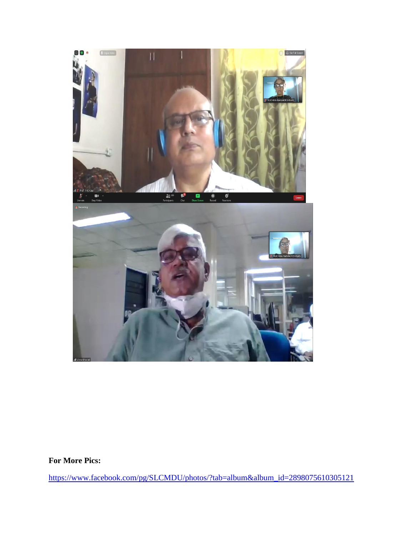

**For More Pics:**

[https://www.facebook.com/pg/SLCMDU/photos/?tab=album&album\\_id=2898075610305121](https://www.facebook.com/pg/SLCMDU/photos/?tab=album&album_id=2898075610305121)